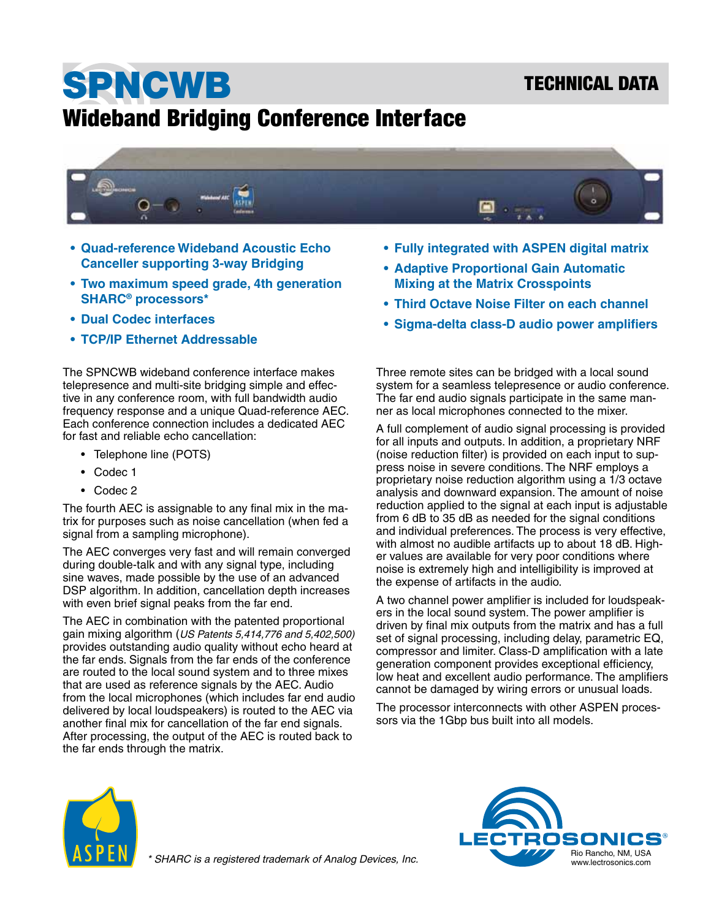### TECHNICAL DATA

# SPNCWB Wideband Bridging Conference Interface



- **• Quad-reference Wideband Acoustic Echo Canceller supporting 3-way Bridging**
- **• Two maximum speed grade, 4th generation SHARC® processors\***
- **• Dual Codec interfaces**
- **• TCP/IP Ethernet Addressable**

The SPNCWB wideband conference interface makes telepresence and multi-site bridging simple and effective in any conference room, with full bandwidth audio frequency response and a unique Quad-reference AEC. Each conference connection includes a dedicated AEC for fast and reliable echo cancellation:

- Telephone line (POTS)
- Codec 1
- Codec 2

The fourth AEC is assignable to any final mix in the matrix for purposes such as noise cancellation (when fed a signal from a sampling microphone).

The AEC converges very fast and will remain converged during double-talk and with any signal type, including sine waves, made possible by the use of an advanced DSP algorithm. In addition, cancellation depth increases with even brief signal peaks from the far end.

The AEC in combination with the patented proportional gain mixing algorithm (*US Patents 5,414,776 and 5,402,500)*  provides outstanding audio quality without echo heard at the far ends. Signals from the far ends of the conference are routed to the local sound system and to three mixes that are used as reference signals by the AEC. Audio from the local microphones (which includes far end audio delivered by local loudspeakers) is routed to the AEC via another final mix for cancellation of the far end signals. After processing, the output of the AEC is routed back to the far ends through the matrix.

- **• Fully integrated with ASPEN digital matrix**
- **• Adaptive Proportional Gain Automatic Mixing at the Matrix Crosspoints**
- **• Third Octave Noise Filter on each channel**
- **• Sigma-delta class-D audio power amplifiers**

Three remote sites can be bridged with a local sound system for a seamless telepresence or audio conference. The far end audio signals participate in the same manner as local microphones connected to the mixer.

A full complement of audio signal processing is provided for all inputs and outputs. In addition, a proprietary NRF (noise reduction filter) is provided on each input to suppress noise in severe conditions. The NRF employs a proprietary noise reduction algorithm using a 1/3 octave analysis and downward expansion. The amount of noise reduction applied to the signal at each input is adjustable from 6 dB to 35 dB as needed for the signal conditions and individual preferences. The process is very effective, with almost no audible artifacts up to about 18 dB. Higher values are available for very poor conditions where noise is extremely high and intelligibility is improved at the expense of artifacts in the audio.

A two channel power amplifier is included for loudspeakers in the local sound system. The power amplifier is driven by final mix outputs from the matrix and has a full set of signal processing, including delay, parametric EQ, compressor and limiter. Class-D amplification with a late generation component provides exceptional efficiency, low heat and excellent audio performance. The amplifiers cannot be damaged by wiring errors or unusual loads.

The processor interconnects with other ASPEN processors via the 1Gbp bus built into all models.



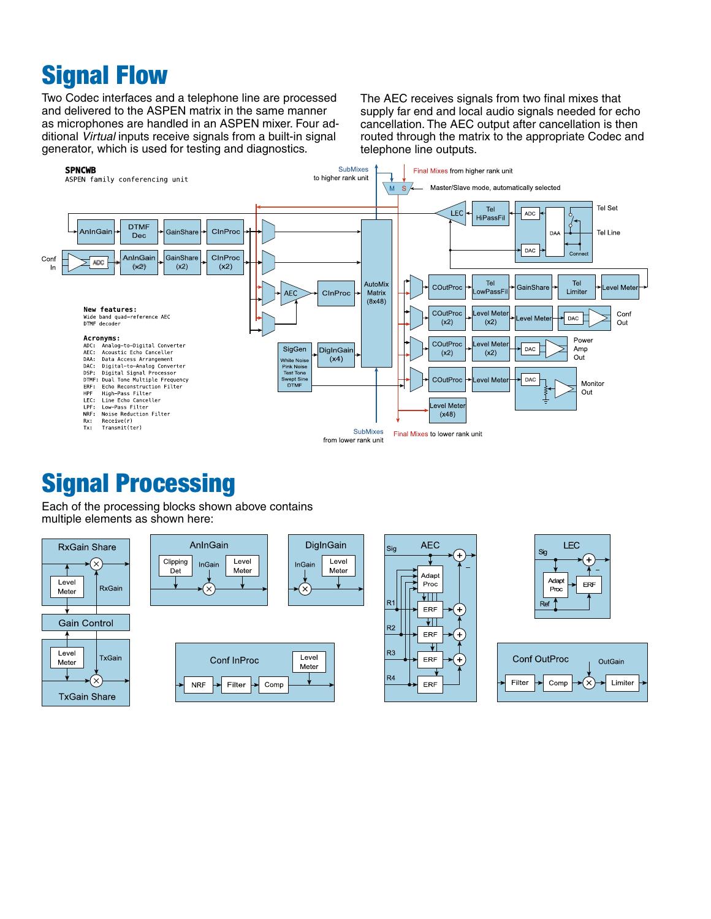### Signal Flow

Two Codec interfaces and a telephone line are processed and delivered to the ASPEN matrix in the same manner as microphones are handled in an ASPEN mixer. Four additional *Virtual* inputs receive signals from a built-in signal generator, which is used for testing and diagnostics.

The AEC receives signals from two final mixes that supply far end and local audio signals needed for echo cancellation. The AEC output after cancellation is then routed through the matrix to the appropriate Codec and telephone line outputs.



### Signal Processing

Each of the processing blocks shown above contains multiple elements as shown here:

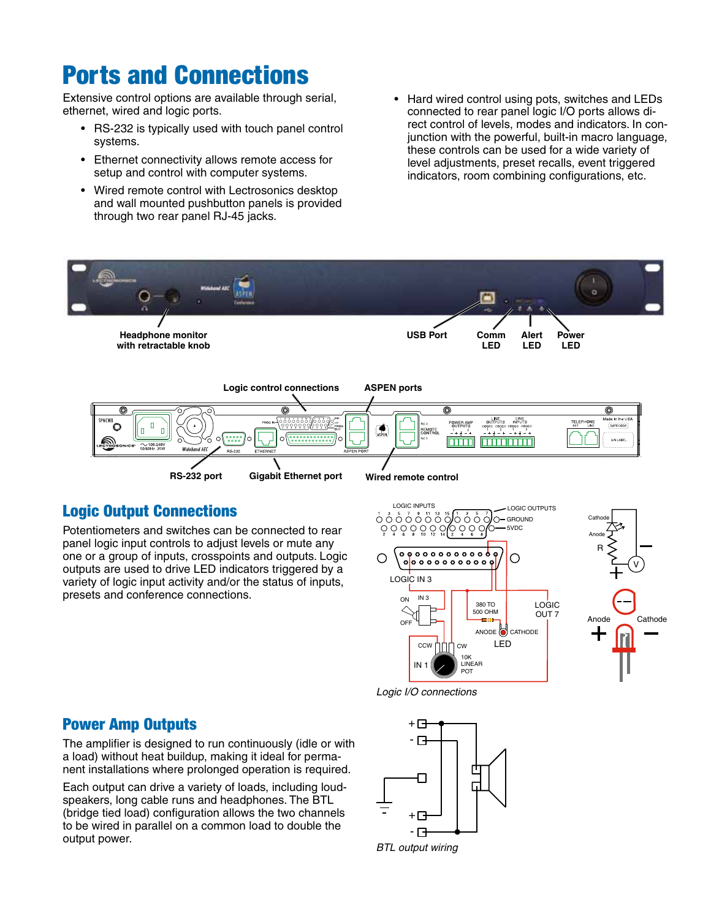### Ports and Connections

Extensive control options are available through serial, ethernet, wired and logic ports.

- RS-232 is typically used with touch panel control systems.
- • Ethernet connectivity allows remote access for setup and control with computer systems.
- Wired remote control with Lectrosonics desktop and wall mounted pushbutton panels is provided through two rear panel RJ-45 jacks.
- Hard wired control using pots, switches and LEDs connected to rear panel logic I/O ports allows direct control of levels, modes and indicators. In conjunction with the powerful, built-in macro language, these controls can be used for a wide variety of level adjustments, preset recalls, event triggered indicators, room combining configurations, etc.



#### Logic Output Connections

Potentiometers and switches can be connected to rear panel logic input controls to adjust levels or mute any one or a group of inputs, crosspoints and outputs. Logic outputs are used to drive LED indicators triggered by a variety of logic input activity and/or the status of inputs, presets and conference connections.





*Logic I/O connections*

#### Power Amp Outputs

The amplifier is designed to run continuously (idle or with a load) without heat buildup, making it ideal for permanent installations where prolonged operation is required.

Each output can drive a variety of loads, including loudspeakers, long cable runs and headphones. The BTL (bridge tied load) configuration allows the two channels to be wired in parallel on a common load to double the output power.

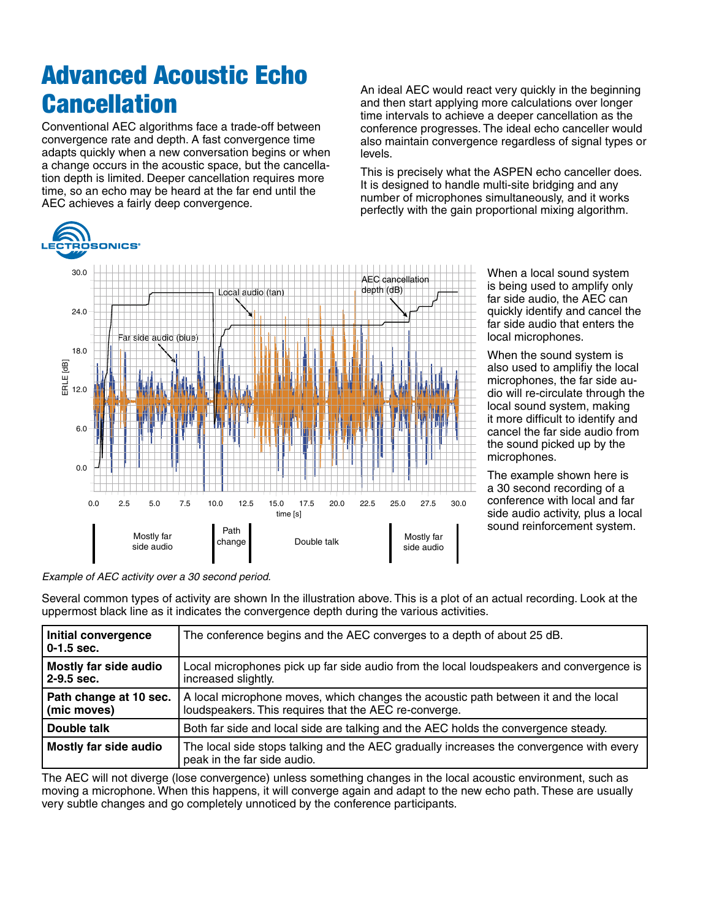# Advanced Acoustic Echo **Cancellation**

Conventional AEC algorithms face a trade-off between convergence rate and depth. A fast convergence time adapts quickly when a new conversation begins or when a change occurs in the acoustic space, but the cancellation depth is limited. Deeper cancellation requires more time, so an echo may be heard at the far end until the AEC achieves a fairly deep convergence.

An ideal AEC would react very quickly in the beginning and then start applying more calculations over longer time intervals to achieve a deeper cancellation as the conference progresses. The ideal echo canceller would also maintain convergence regardless of signal types or levels.

This is precisely what the ASPEN echo canceller does. It is designed to handle multi-site bridging and any number of microphones simultaneously, and it works perfectly with the gain proportional mixing algorithm.



When a local sound system is being used to amplify only far side audio, the AEC can quickly identify and cancel the far side audio that enters the local microphones.

When the sound system is also used to amplifiy the local microphones, the far side audio will re-circulate through the local sound system, making it more difficult to identify and cancel the far side audio from the sound picked up by the microphones.

The example shown here is a 30 second recording of a conference with local and far side audio activity, plus a local sound reinforcement system.

*Example of AEC activity over a 30 second period.*

Several common types of activity are shown In the illustration above. This is a plot of an actual recording. Look at the uppermost black line as it indicates the convergence depth during the various activities.

| Initial convergence<br>$0-1.5$ sec.   | The conference begins and the AEC converges to a depth of about 25 dB.                                                                      |  |
|---------------------------------------|---------------------------------------------------------------------------------------------------------------------------------------------|--|
| Mostly far side audio<br>$2-9.5$ sec. | Local microphones pick up far side audio from the local loudspeakers and convergence is<br>increased slightly.                              |  |
| Path change at 10 sec.<br>(mic moves) | A local microphone moves, which changes the acoustic path between it and the local<br>loudspeakers. This requires that the AEC re-converge. |  |
| Double talk                           | Both far side and local side are talking and the AEC holds the convergence steady.                                                          |  |
| Mostly far side audio                 | The local side stops talking and the AEC gradually increases the convergence with every<br>peak in the far side audio.                      |  |

The AEC will not diverge (lose convergence) unless something changes in the local acoustic environment, such as moving a microphone. When this happens, it will converge again and adapt to the new echo path. These are usually very subtle changes and go completely unnoticed by the conference participants.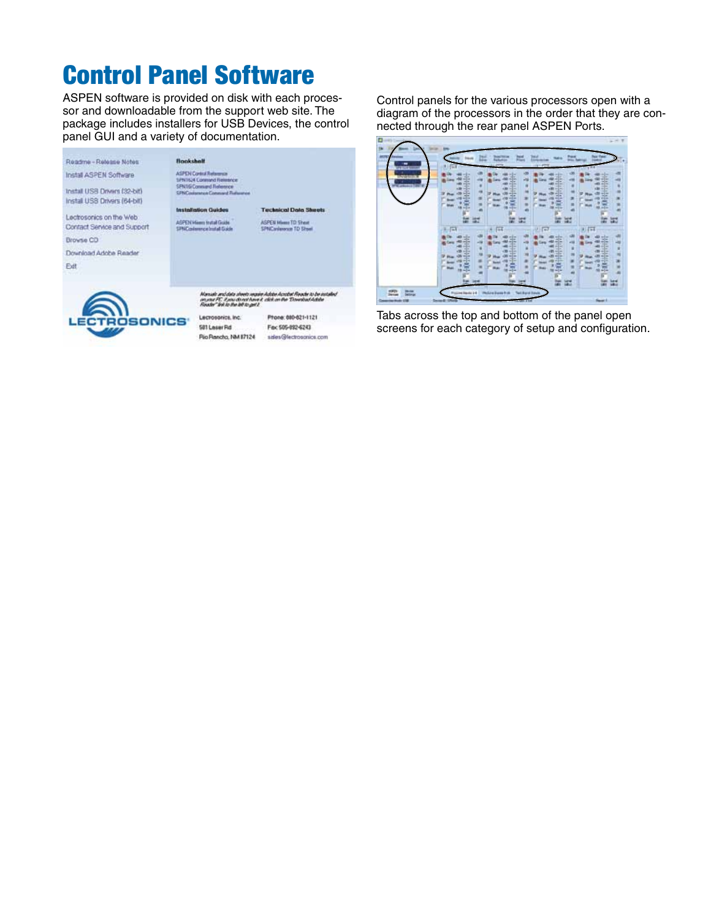### Control Panel Software

ASPEN software is provided on disk with each processor and downloadable from the support web site. The package includes installers for USB Devices, the control panel GUI and a variety of documentation.

| Roadme-Release Notes         | Booksholf                                                             |                                                                                                                                        |
|------------------------------|-----------------------------------------------------------------------|----------------------------------------------------------------------------------------------------------------------------------------|
| Install ASPEN Software       | <b>ASPEN Control Retignment</b><br><b>SPIKTED4 Constand Relaxance</b> |                                                                                                                                        |
| Install USB Drivers (32-bit) | SPN16 Connued Releases<br><b>SPNContenza Comment Fisherment</b>       |                                                                                                                                        |
| Install USB Drivers (64-bit) |                                                                       |                                                                                                                                        |
|                              | <b>Installation Guides</b>                                            | <b>Technical Data Sheets</b>                                                                                                           |
| Lectrosonics on the Web      | ASPEN Minner trutal Guide                                             | <b>ASPEN Hiero TD Sheet</b>                                                                                                            |
| Contact Service and Support  | SPNCcolorerce butal Gade                                              | SPNCanlennon TD Shoel                                                                                                                  |
| Browse CD                    |                                                                       |                                                                                                                                        |
| Download Adobe Reader        |                                                                       |                                                                                                                                        |
| Exit                         |                                                                       |                                                                                                                                        |
|                              |                                                                       |                                                                                                                                        |
|                              | Finally" link to the left to get I.                                   | Manuali und data sheets require Active Acrobat Reactiv to be installed<br>an jour PC. Executived have it click on the Tiewalsad Addres |
| <b>LECTROSON</b>             | Lecrosonics, Inc.                                                     | Ptone: 880-821-1121                                                                                                                    |
|                              | 581 Leser Rd                                                          | Fits: 505-892-6243                                                                                                                     |

Pio Rancho, NM 87124

sales@lectrosonics.com

Control panels for the various processors open with a diagram of the processors in the order that they are connected through the rear panel ASPEN Ports.



Tabs across the top and bottom of the panel open screens for each category of setup and configuration.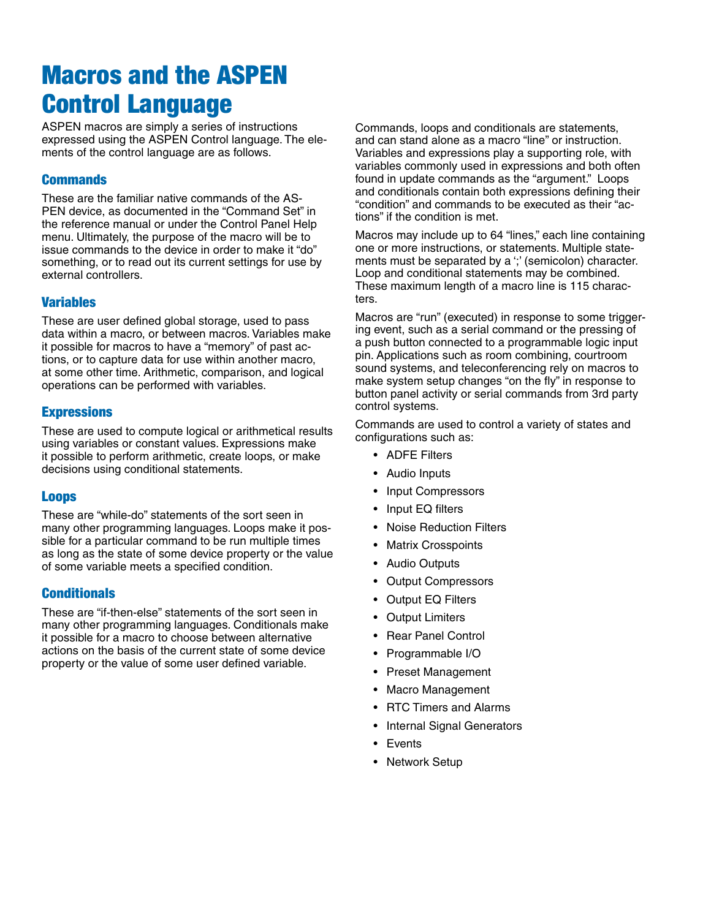# Macros and the ASPEN Control Language

ASPEN macros are simply a series of instructions expressed using the ASPEN Control language. The elements of the control language are as follows.

#### **Commands**

These are the familiar native commands of the AS-PEN device, as documented in the "Command Set" in the reference manual or under the Control Panel Help menu. Ultimately, the purpose of the macro will be to issue commands to the device in order to make it "do" something, or to read out its current settings for use by external controllers.

#### Variables

These are user defined global storage, used to pass data within a macro, or between macros. Variables make it possible for macros to have a "memory" of past actions, or to capture data for use within another macro, at some other time. Arithmetic, comparison, and logical operations can be performed with variables.

#### **Expressions**

These are used to compute logical or arithmetical results using variables or constant values. Expressions make it possible to perform arithmetic, create loops, or make decisions using conditional statements.

#### Loops

These are "while-do" statements of the sort seen in many other programming languages. Loops make it possible for a particular command to be run multiple times as long as the state of some device property or the value of some variable meets a specified condition.

#### **Conditionals**

These are "if-then-else" statements of the sort seen in many other programming languages. Conditionals make it possible for a macro to choose between alternative actions on the basis of the current state of some device property or the value of some user defined variable.

Commands, loops and conditionals are statements, and can stand alone as a macro "line" or instruction. Variables and expressions play a supporting role, with variables commonly used in expressions and both often found in update commands as the "argument." Loops and conditionals contain both expressions defining their "condition" and commands to be executed as their "actions" if the condition is met.

Macros may include up to 64 "lines," each line containing one or more instructions, or statements. Multiple statements must be separated by a ';' (semicolon) character. Loop and conditional statements may be combined. These maximum length of a macro line is 115 characters.

Macros are "run" (executed) in response to some triggering event, such as a serial command or the pressing of a push button connected to a programmable logic input pin. Applications such as room combining, courtroom sound systems, and teleconferencing rely on macros to make system setup changes "on the fly" in response to button panel activity or serial commands from 3rd party control systems.

Commands are used to control a variety of states and configurations such as:

- • ADFE Filters
- • Audio Inputs
- • Input Compressors
- Input EQ filters
- **Noise Reduction Filters**
- **Matrix Crosspoints**
- **Audio Outputs**
- **Output Compressors**
- **Output EQ Filters**
- • Output Limiters
- **Rear Panel Control**
- • Programmable I/O
- • Preset Management
- • Macro Management
- • RTC Timers and Alarms
- Internal Signal Generators
- • Events
- Network Setup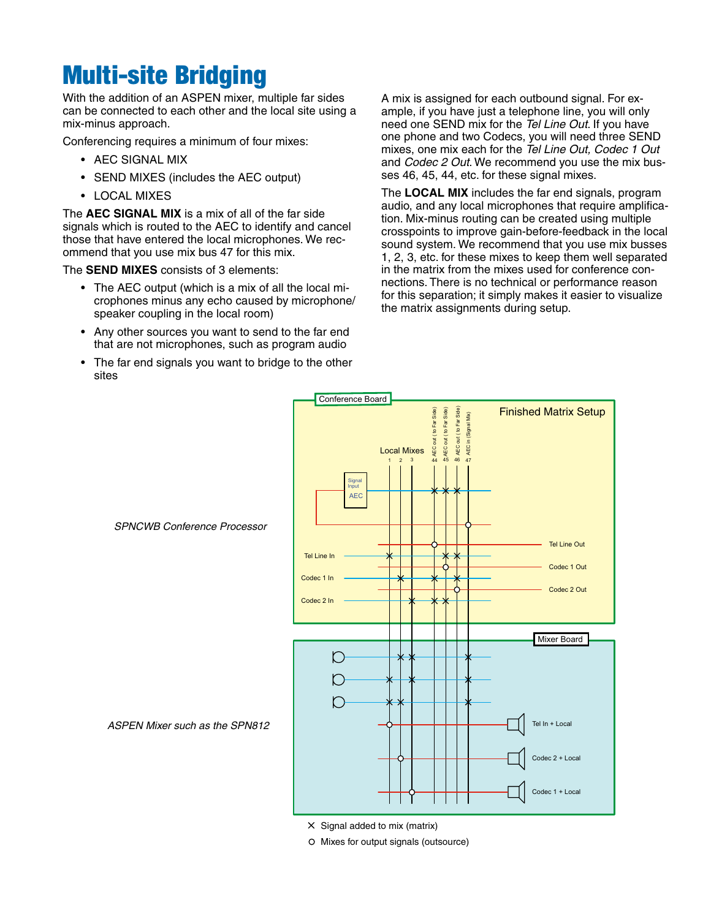### Multi-site Bridging

With the addition of an ASPEN mixer, multiple far sides can be connected to each other and the local site using a mix-minus approach.

Conferencing requires a minimum of four mixes:

- AEC SIGNAL MIX
- • SEND MIXES (includes the AEC output)
- • LOCAL MIXES

The **AEC SIGNAL MIX** is a mix of all of the far side signals which is routed to the AEC to identify and cancel those that have entered the local microphones. We recommend that you use mix bus 47 for this mix.

The **SEND MIXES** consists of 3 elements:

- The AEC output (which is a mix of all the local microphones minus any echo caused by microphone/ speaker coupling in the local room)
- Any other sources you want to send to the far end that are not microphones, such as program audio
- The far end signals you want to bridge to the other sites

A mix is assigned for each outbound signal. For example, if you have just a telephone line, you will only need one SEND mix for the *Tel Line Out*. If you have one phone and two Codecs, you will need three SEND mixes, one mix each for the *Tel Line Out, Codec 1 Out* and *Codec 2 Out*. We recommend you use the mix busses 46, 45, 44, etc. for these signal mixes.

The **LOCAL MIX** includes the far end signals, program audio, and any local microphones that require amplification. Mix-minus routing can be created using multiple crosspoints to improve gain-before-feedback in the local sound system. We recommend that you use mix busses 1, 2, 3, etc. for these mixes to keep them well separated in the matrix from the mixes used for conference connections. There is no technical or performance reason for this separation; it simply makes it easier to visualize the matrix assignments during setup.



- $\times$  Signal added to mix (matrix)
- O Mixes for output signals (outsource)